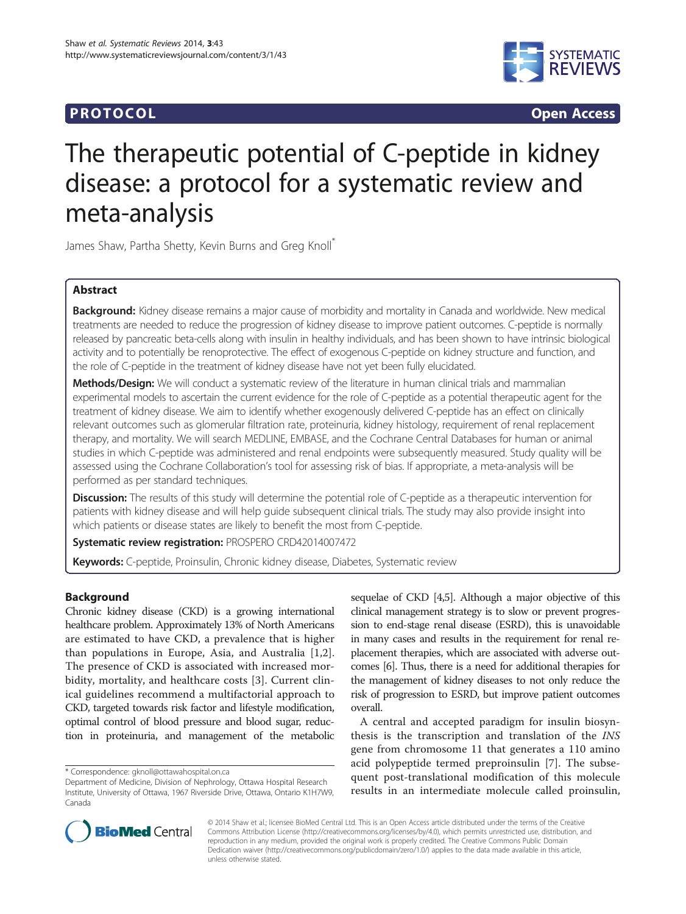# **PROTOCOL CONSUMING ACCESS CONSUMING ACCESS**



# The therapeutic potential of C-peptide in kidney disease: a protocol for a systematic review and meta-analysis

James Shaw, Partha Shetty, Kevin Burns and Greg Knoll\*

# Abstract

Background: Kidney disease remains a major cause of morbidity and mortality in Canada and worldwide. New medical treatments are needed to reduce the progression of kidney disease to improve patient outcomes. C-peptide is normally released by pancreatic beta-cells along with insulin in healthy individuals, and has been shown to have intrinsic biological activity and to potentially be renoprotective. The effect of exogenous C-peptide on kidney structure and function, and the role of C-peptide in the treatment of kidney disease have not yet been fully elucidated.

Methods/Design: We will conduct a systematic review of the literature in human clinical trials and mammalian experimental models to ascertain the current evidence for the role of C-peptide as a potential therapeutic agent for the treatment of kidney disease. We aim to identify whether exogenously delivered C-peptide has an effect on clinically relevant outcomes such as glomerular filtration rate, proteinuria, kidney histology, requirement of renal replacement therapy, and mortality. We will search MEDLINE, EMBASE, and the Cochrane Central Databases for human or animal studies in which C-peptide was administered and renal endpoints were subsequently measured. Study quality will be assessed using the Cochrane Collaboration's tool for assessing risk of bias. If appropriate, a meta-analysis will be performed as per standard techniques.

Discussion: The results of this study will determine the potential role of C-peptide as a therapeutic intervention for patients with kidney disease and will help guide subsequent clinical trials. The study may also provide insight into which patients or disease states are likely to benefit the most from C-peptide.

Systematic review registration: PROSPERO [CRD42014007472](http://www.crd.york.ac.uk/PROSPERO/display_record.asp?ID=CRD42014007472)

Keywords: C-peptide, Proinsulin, Chronic kidney disease, Diabetes, Systematic review

# Background

Chronic kidney disease (CKD) is a growing international healthcare problem. Approximately 13% of North Americans are estimated to have CKD, a prevalence that is higher than populations in Europe, Asia, and Australia [[1,2](#page-4-0)]. The presence of CKD is associated with increased morbidity, mortality, and healthcare costs [[3\]](#page-4-0). Current clinical guidelines recommend a multifactorial approach to CKD, targeted towards risk factor and lifestyle modification, optimal control of blood pressure and blood sugar, reduction in proteinuria, and management of the metabolic

\* Correspondence: [gknoll@ottawahospital.on.ca](mailto:gknoll@ottawahospital.on.ca)

sequelae of CKD [\[4,5\]](#page-4-0). Although a major objective of this clinical management strategy is to slow or prevent progression to end-stage renal disease (ESRD), this is unavoidable in many cases and results in the requirement for renal replacement therapies, which are associated with adverse outcomes [\[6](#page-4-0)]. Thus, there is a need for additional therapies for the management of kidney diseases to not only reduce the risk of progression to ESRD, but improve patient outcomes overall.

A central and accepted paradigm for insulin biosynthesis is the transcription and translation of the INS gene from chromosome 11 that generates a 110 amino acid polypeptide termed preproinsulin [[7\]](#page-4-0). The subsequent post-translational modification of this molecule results in an intermediate molecule called proinsulin,



© 2014 Shaw et al.; licensee BioMed Central Ltd. This is an Open Access article distributed under the terms of the Creative Commons Attribution License [\(http://creativecommons.org/licenses/by/4.0\)](http://creativecommons.org/licenses/by/4.0), which permits unrestricted use, distribution, and reproduction in any medium, provided the original work is properly credited. The Creative Commons Public Domain Dedication waiver [\(http://creativecommons.org/publicdomain/zero/1.0/](http://creativecommons.org/publicdomain/zero/1.0/)) applies to the data made available in this article, unless otherwise stated.

Department of Medicine, Division of Nephrology, Ottawa Hospital Research Institute, University of Ottawa, 1967 Riverside Drive, Ottawa, Ontario K1H7W9, Canada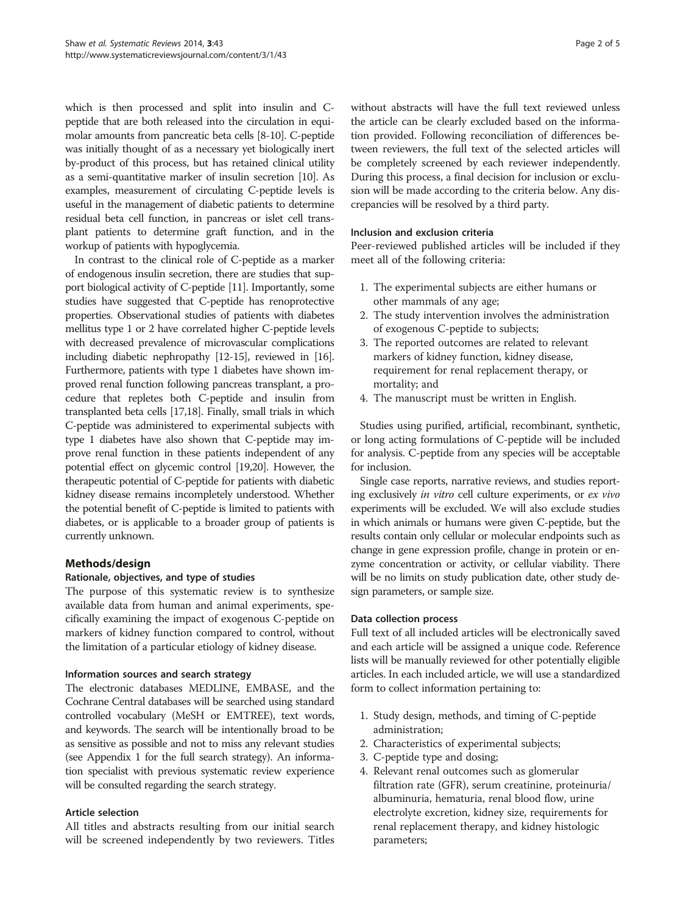which is then processed and split into insulin and Cpeptide that are both released into the circulation in equimolar amounts from pancreatic beta cells [\[8-10\]](#page-4-0). C-peptide was initially thought of as a necessary yet biologically inert by-product of this process, but has retained clinical utility as a semi-quantitative marker of insulin secretion [\[10](#page-4-0)]. As examples, measurement of circulating C-peptide levels is useful in the management of diabetic patients to determine residual beta cell function, in pancreas or islet cell transplant patients to determine graft function, and in the workup of patients with hypoglycemia.

In contrast to the clinical role of C-peptide as a marker of endogenous insulin secretion, there are studies that support biological activity of C-peptide [\[11\]](#page-4-0). Importantly, some studies have suggested that C-peptide has renoprotective properties. Observational studies of patients with diabetes mellitus type 1 or 2 have correlated higher C-peptide levels with decreased prevalence of microvascular complications including diabetic nephropathy [[12](#page-4-0)-[15](#page-4-0)], reviewed in [\[16](#page-4-0)]. Furthermore, patients with type 1 diabetes have shown improved renal function following pancreas transplant, a procedure that repletes both C-peptide and insulin from transplanted beta cells [[17,18](#page-4-0)]. Finally, small trials in which C-peptide was administered to experimental subjects with type 1 diabetes have also shown that C-peptide may improve renal function in these patients independent of any potential effect on glycemic control [[19,20](#page-4-0)]. However, the therapeutic potential of C-peptide for patients with diabetic kidney disease remains incompletely understood. Whether the potential benefit of C-peptide is limited to patients with diabetes, or is applicable to a broader group of patients is currently unknown.

# Methods/design

# Rationale, objectives, and type of studies

The purpose of this systematic review is to synthesize available data from human and animal experiments, specifically examining the impact of exogenous C-peptide on markers of kidney function compared to control, without the limitation of a particular etiology of kidney disease.

#### Information sources and search strategy

The electronic databases MEDLINE, EMBASE, and the Cochrane Central databases will be searched using standard controlled vocabulary (MeSH or EMTREE), text words, and keywords. The search will be intentionally broad to be as sensitive as possible and not to miss any relevant studies (see Appendix [1](#page-2-0) for the full search strategy). An information specialist with previous systematic review experience will be consulted regarding the search strategy.

# Article selection

All titles and abstracts resulting from our initial search will be screened independently by two reviewers. Titles without abstracts will have the full text reviewed unless the article can be clearly excluded based on the information provided. Following reconciliation of differences between reviewers, the full text of the selected articles will be completely screened by each reviewer independently. During this process, a final decision for inclusion or exclusion will be made according to the criteria below. Any discrepancies will be resolved by a third party.

#### Inclusion and exclusion criteria

Peer-reviewed published articles will be included if they meet all of the following criteria:

- 1. The experimental subjects are either humans or other mammals of any age;
- 2. The study intervention involves the administration of exogenous C-peptide to subjects;
- 3. The reported outcomes are related to relevant markers of kidney function, kidney disease, requirement for renal replacement therapy, or mortality; and
- 4. The manuscript must be written in English.

Studies using purified, artificial, recombinant, synthetic, or long acting formulations of C-peptide will be included for analysis. C-peptide from any species will be acceptable for inclusion.

Single case reports, narrative reviews, and studies reporting exclusively in vitro cell culture experiments, or ex vivo experiments will be excluded. We will also exclude studies in which animals or humans were given C-peptide, but the results contain only cellular or molecular endpoints such as change in gene expression profile, change in protein or enzyme concentration or activity, or cellular viability. There will be no limits on study publication date, other study design parameters, or sample size.

#### Data collection process

Full text of all included articles will be electronically saved and each article will be assigned a unique code. Reference lists will be manually reviewed for other potentially eligible articles. In each included article, we will use a standardized form to collect information pertaining to:

- 1. Study design, methods, and timing of C-peptide administration;
- 2. Characteristics of experimental subjects;
- 3. C-peptide type and dosing;
- 4. Relevant renal outcomes such as glomerular filtration rate (GFR), serum creatinine, proteinuria/ albuminuria, hematuria, renal blood flow, urine electrolyte excretion, kidney size, requirements for renal replacement therapy, and kidney histologic parameters;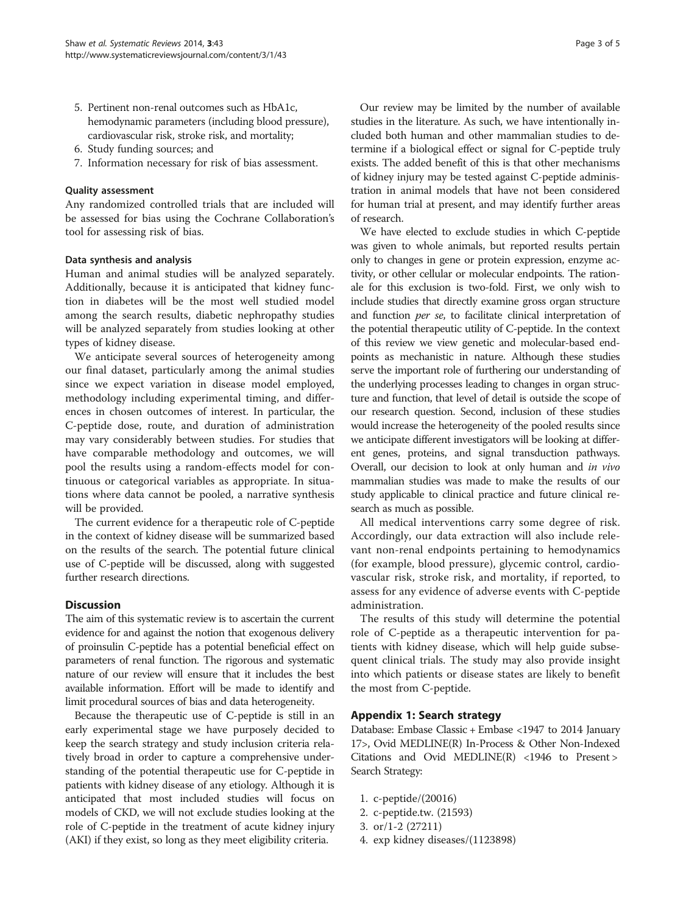- <span id="page-2-0"></span>5. Pertinent non-renal outcomes such as HbA1c, hemodynamic parameters (including blood pressure), cardiovascular risk, stroke risk, and mortality;
- 6. Study funding sources; and
- 7. Information necessary for risk of bias assessment.

#### Quality assessment

Any randomized controlled trials that are included will be assessed for bias using the Cochrane Collaboration's tool for assessing risk of bias.

#### Data synthesis and analysis

Human and animal studies will be analyzed separately. Additionally, because it is anticipated that kidney function in diabetes will be the most well studied model among the search results, diabetic nephropathy studies will be analyzed separately from studies looking at other types of kidney disease.

We anticipate several sources of heterogeneity among our final dataset, particularly among the animal studies since we expect variation in disease model employed, methodology including experimental timing, and differences in chosen outcomes of interest. In particular, the C-peptide dose, route, and duration of administration may vary considerably between studies. For studies that have comparable methodology and outcomes, we will pool the results using a random-effects model for continuous or categorical variables as appropriate. In situations where data cannot be pooled, a narrative synthesis will be provided.

The current evidence for a therapeutic role of C-peptide in the context of kidney disease will be summarized based on the results of the search. The potential future clinical use of C-peptide will be discussed, along with suggested further research directions.

# **Discussion**

The aim of this systematic review is to ascertain the current evidence for and against the notion that exogenous delivery of proinsulin C-peptide has a potential beneficial effect on parameters of renal function. The rigorous and systematic nature of our review will ensure that it includes the best available information. Effort will be made to identify and limit procedural sources of bias and data heterogeneity.

Because the therapeutic use of C-peptide is still in an early experimental stage we have purposely decided to keep the search strategy and study inclusion criteria relatively broad in order to capture a comprehensive understanding of the potential therapeutic use for C-peptide in patients with kidney disease of any etiology. Although it is anticipated that most included studies will focus on models of CKD, we will not exclude studies looking at the role of C-peptide in the treatment of acute kidney injury (AKI) if they exist, so long as they meet eligibility criteria.

Our review may be limited by the number of available studies in the literature. As such, we have intentionally included both human and other mammalian studies to determine if a biological effect or signal for C-peptide truly exists. The added benefit of this is that other mechanisms of kidney injury may be tested against C-peptide administration in animal models that have not been considered for human trial at present, and may identify further areas of research.

We have elected to exclude studies in which C-peptide was given to whole animals, but reported results pertain only to changes in gene or protein expression, enzyme activity, or other cellular or molecular endpoints. The rationale for this exclusion is two-fold. First, we only wish to include studies that directly examine gross organ structure and function per se, to facilitate clinical interpretation of the potential therapeutic utility of C-peptide. In the context of this review we view genetic and molecular-based endpoints as mechanistic in nature. Although these studies serve the important role of furthering our understanding of the underlying processes leading to changes in organ structure and function, that level of detail is outside the scope of our research question. Second, inclusion of these studies would increase the heterogeneity of the pooled results since we anticipate different investigators will be looking at different genes, proteins, and signal transduction pathways. Overall, our decision to look at only human and in vivo mammalian studies was made to make the results of our study applicable to clinical practice and future clinical research as much as possible.

All medical interventions carry some degree of risk. Accordingly, our data extraction will also include relevant non-renal endpoints pertaining to hemodynamics (for example, blood pressure), glycemic control, cardiovascular risk, stroke risk, and mortality, if reported, to assess for any evidence of adverse events with C-peptide administration.

The results of this study will determine the potential role of C-peptide as a therapeutic intervention for patients with kidney disease, which will help guide subsequent clinical trials. The study may also provide insight into which patients or disease states are likely to benefit the most from C-peptide.

# Appendix 1: Search strategy

Database: Embase Classic + Embase <1947 to 2014 January 17>, Ovid MEDLINE(R) In-Process & Other Non-Indexed Citations and Ovid MEDLINE $(R)$  <1946 to Present > Search Strategy:

- 1. c-peptide/(20016)
- 2. c-peptide.tw. (21593)
- 3. or/1-2 (27211)
- 4. exp kidney diseases/(1123898)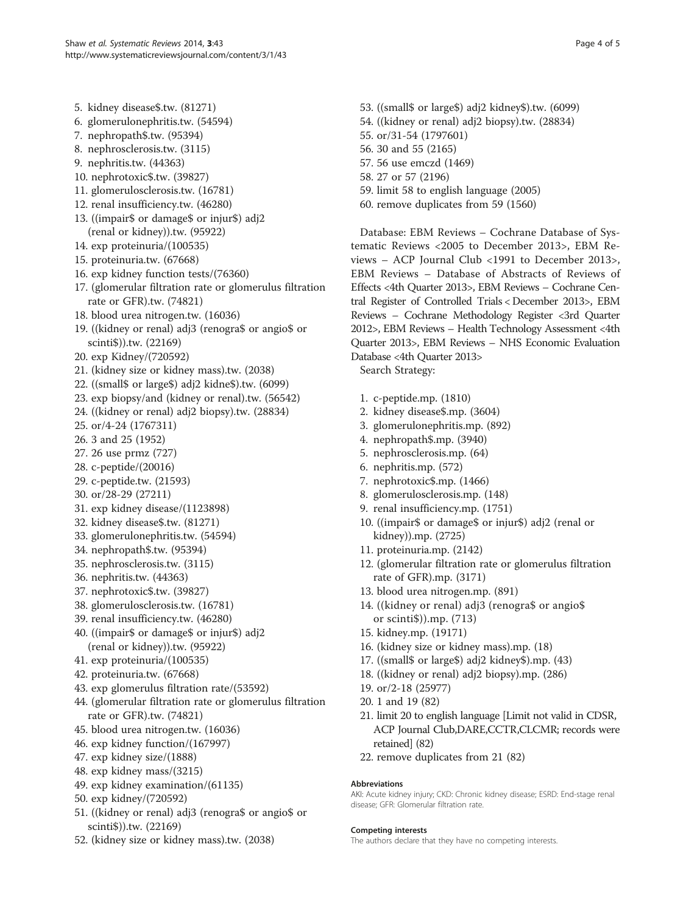5. kidney disease\$.tw. (81271) 6. glomerulonephritis.tw. (54594) 7. nephropath\$.tw. (95394) 8. nephrosclerosis.tw. (3115) 9. nephritis.tw. (44363) 10. nephrotoxic\$.tw. (39827) 11. glomerulosclerosis.tw. (16781) 12. renal insufficiency.tw. (46280) 13. ((impair\$ or damage\$ or injur\$) adj2 (renal or kidney)).tw. (95922) 14. exp proteinuria/(100535) 15. proteinuria.tw. (67668) 16. exp kidney function tests/(76360) 17. (glomerular filtration rate or glomerulus filtration rate or GFR).tw. (74821) 18. blood urea nitrogen.tw. (16036) 19. ((kidney or renal) adj3 (renogra\$ or angio\$ or scinti\$)).tw. (22169) 20. exp Kidney/(720592) 21. (kidney size or kidney mass).tw. (2038) 22. ((small\$ or large\$) adj2 kidne\$).tw. (6099) 23. exp biopsy/and (kidney or renal).tw. (56542) 24. ((kidney or renal) adj2 biopsy).tw. (28834) 25. or/4-24 (1767311) 26. 3 and 25 (1952) 27. 26 use prmz (727) 28. c-peptide/(20016) 29. c-peptide.tw. (21593) 30. or/28-29 (27211) 31. exp kidney disease/(1123898) 32. kidney disease\$.tw. (81271) 33. glomerulonephritis.tw. (54594) 34. nephropath\$.tw. (95394) 35. nephrosclerosis.tw. (3115) 36. nephritis.tw. (44363) 37. nephrotoxic\$.tw. (39827) 38. glomerulosclerosis.tw. (16781) 39. renal insufficiency.tw. (46280) 40. ((impair\$ or damage\$ or injur\$) adj2 (renal or kidney)).tw. (95922) 41. exp proteinuria/(100535) 42. proteinuria.tw. (67668) 43. exp glomerulus filtration rate/(53592) 44. (glomerular filtration rate or glomerulus filtration rate or GFR).tw. (74821) 45. blood urea nitrogen.tw. (16036) 46. exp kidney function/(167997) 47. exp kidney size/(1888) 48. exp kidney mass/(3215) 49. exp kidney examination/(61135) 50. exp kidney/(720592) 51. ((kidney or renal) adj3 (renogra\$ or angio\$ or scinti\$)).tw. (22169)

52. (kidney size or kidney mass).tw. (2038)

53. ((small\$ or large\$) adj2 kidney\$).tw. (6099) 54. ((kidney or renal) adj2 biopsy).tw. (28834) 55. or/31-54 (1797601) 56. 30 and 55 (2165) 57. 56 use emczd (1469) 58. 27 or 57 (2196) 59. limit 58 to english language (2005) 60. remove duplicates from 59 (1560)

Database: EBM Reviews – Cochrane Database of Systematic Reviews <2005 to December 2013>, EBM Reviews – ACP Journal Club <1991 to December 2013>, EBM Reviews – Database of Abstracts of Reviews of Effects <4th Quarter 2013>, EBM Reviews – Cochrane Central Register of Controlled Trials < December 2013>, EBM Reviews – Cochrane Methodology Register <3rd Quarter 2012>, EBM Reviews – Health Technology Assessment <4th Quarter 2013>, EBM Reviews – NHS Economic Evaluation Database <4th Quarter 2013>

Search Strategy:

- 1. c-peptide.mp. (1810)
- 2. kidney disease\$.mp. (3604)
- 3. glomerulonephritis.mp. (892)
- 4. nephropath\$.mp. (3940)
- 5. nephrosclerosis.mp. (64)
- 6. nephritis.mp. (572)
- 7. nephrotoxic\$.mp. (1466)
- 8. glomerulosclerosis.mp. (148)
- 9. renal insufficiency.mp. (1751)
- 10. ((impair\$ or damage\$ or injur\$) adj2 (renal or kidney)).mp. (2725)
- 11. proteinuria.mp. (2142)
- 12. (glomerular filtration rate or glomerulus filtration rate of GFR).mp. (3171)
- 13. blood urea nitrogen.mp. (891)
- 14. ((kidney or renal) adj3 (renogra\$ or angio\$ or scinti\$)).mp. (713)
- 15. kidney.mp. (19171)
- 16. (kidney size or kidney mass).mp. (18)
- 17. ((small\$ or large\$) adj2 kidney\$).mp. (43)
- 18. ((kidney or renal) adj2 biopsy).mp. (286)
- 19. or/2-18 (25977)
- 20. 1 and 19 (82)
- 21. limit 20 to english language [Limit not valid in CDSR, ACP Journal Club,DARE,CCTR,CLCMR; records were retained] (82)
- 22. remove duplicates from 21 (82)

#### Abbreviations

AKI: Acute kidney injury; CKD: Chronic kidney disease; ESRD: End-stage renal disease; GFR: Glomerular filtration rate.

#### Competing interests

The authors declare that they have no competing interests.